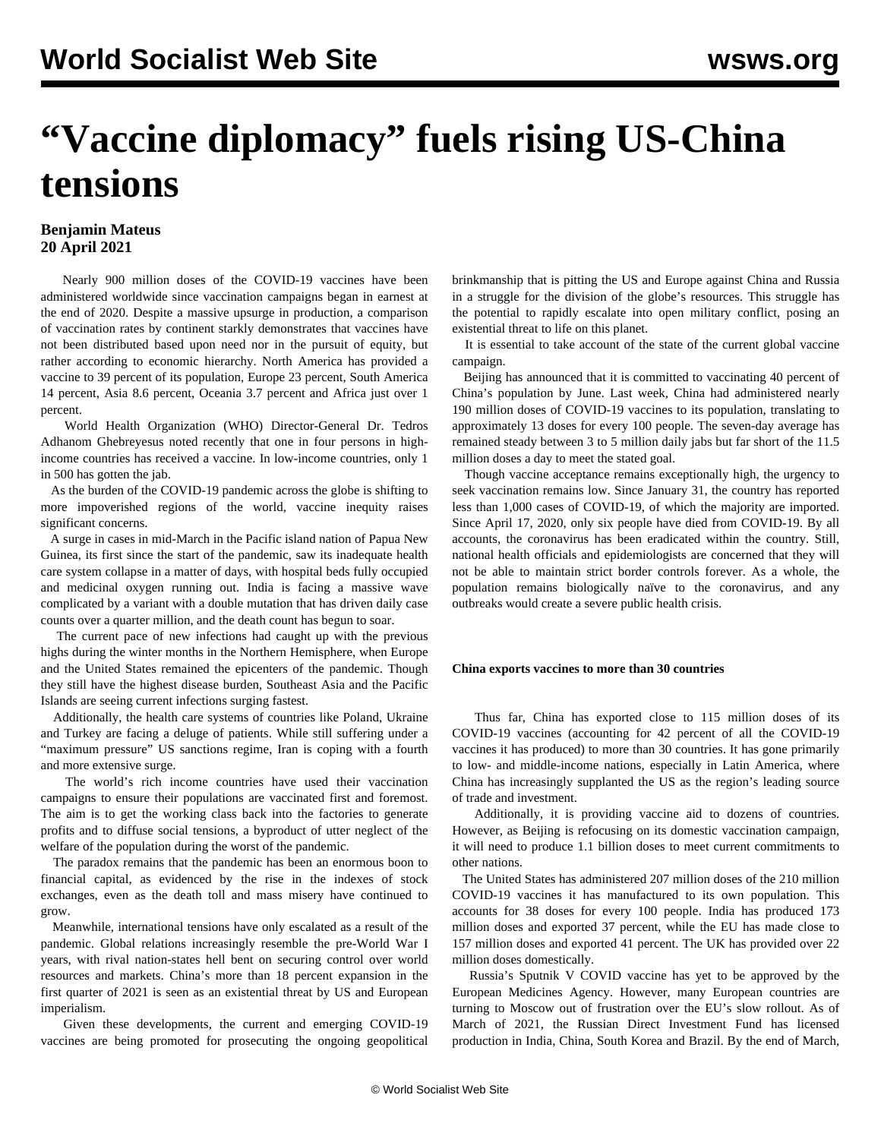## **"Vaccine diplomacy" fuels rising US-China tensions**

## **Benjamin Mateus 20 April 2021**

 Nearly 900 million doses of the COVID-19 vaccines have been administered worldwide since vaccination campaigns began in earnest at the end of 2020. Despite a massive upsurge in production, a comparison of vaccination rates by continent starkly demonstrates that vaccines have not been distributed based upon need nor in the pursuit of equity, but rather according to economic hierarchy. North America has provided a vaccine to 39 percent of its population, Europe 23 percent, South America 14 percent, Asia 8.6 percent, Oceania 3.7 percent and Africa just over 1 percent.

 World Health Organization (WHO) Director-General Dr. Tedros Adhanom Ghebreyesus noted recently that one in four persons in highincome countries has received a vaccine. In low-income countries, only 1 in 500 has gotten the jab.

 As the burden of the COVID-19 pandemic across the globe is shifting to more impoverished regions of the world, vaccine inequity raises significant concerns.

 A surge in cases in mid-March in the Pacific island nation of Papua New Guinea, its first since the start of the pandemic, saw its inadequate health care system collapse in a matter of days, with hospital beds fully occupied and medicinal oxygen running out. India is facing a massive wave complicated by a variant with a double mutation that has driven daily case counts over a quarter million, and the death count has begun to soar.

 The current pace of new infections had caught up with the previous highs during the winter months in the Northern Hemisphere, when Europe and the United States remained the epicenters of the pandemic. Though they still have the highest disease burden, Southeast Asia and the Pacific Islands are seeing current infections surging fastest.

 Additionally, the health care systems of countries like Poland, Ukraine and Turkey are facing a deluge of patients. While still suffering under a "maximum pressure" US sanctions regime, Iran is coping with a fourth and more extensive surge.

 The world's rich income countries have used their vaccination campaigns to ensure their populations are vaccinated first and foremost. The aim is to get the working class back into the factories to generate profits and to diffuse social tensions, a byproduct of utter neglect of the welfare of the population during the worst of the pandemic.

 The paradox remains that the pandemic has been an enormous boon to financial capital, as evidenced by the rise in the indexes of stock exchanges, even as the death toll and mass misery have continued to grow.

 Meanwhile, international tensions have only escalated as a result of the pandemic. Global relations increasingly resemble the pre-World War I years, with rival nation-states hell bent on securing control over world resources and markets. China's more than 18 percent expansion in the first quarter of 2021 is seen as an existential threat by US and European imperialism.

 Given these developments, the current and emerging COVID-19 vaccines are being promoted for prosecuting the ongoing geopolitical brinkmanship that is pitting the US and Europe against China and Russia in a struggle for the division of the globe's resources. This struggle has the potential to rapidly escalate into open military conflict, posing an existential threat to life on this planet.

 It is essential to take account of the state of the current global vaccine campaign.

 Beijing has announced that it is committed to vaccinating 40 percent of China's population by June. Last week, China had administered nearly 190 million doses of COVID-19 vaccines to its population, translating to approximately 13 doses for every 100 people. The seven-day average has remained steady between 3 to 5 million daily jabs but far short of the 11.5 million doses a day to meet the stated goal.

 Though vaccine acceptance remains exceptionally high, the urgency to seek vaccination remains low. Since January 31, the country has reported less than 1,000 cases of COVID-19, of which the majority are imported. Since April 17, 2020, only six people have died from COVID-19. By all accounts, the coronavirus has been eradicated within the country. Still, national health officials and epidemiologists are concerned that they will not be able to maintain strict border controls forever. As a whole, the population remains biologically naïve to the coronavirus, and any outbreaks would create a severe public health crisis.

## **China exports vaccines to more than 30 countries**

 Thus far, China has exported close to 115 million doses of its COVID-19 vaccines (accounting for 42 percent of all the COVID-19 vaccines it has produced) to more than 30 countries. It has gone primarily to low- and middle-income nations, especially in Latin America, where China has increasingly supplanted the US as the region's leading source of trade and investment.

 Additionally, it is providing vaccine aid to dozens of countries. However, as Beijing is refocusing on its domestic vaccination campaign, it will need to produce 1.1 billion doses to meet current commitments to other nations.

 The United States has administered 207 million doses of the 210 million COVID-19 vaccines it has manufactured to its own population. This accounts for 38 doses for every 100 people. India has produced 173 million doses and exported 37 percent, while the EU has made close to 157 million doses and exported 41 percent. The UK has provided over 22 million doses domestically.

 Russia's Sputnik V COVID vaccine has yet to be approved by the European Medicines Agency. However, many European countries are turning to Moscow out of frustration over the EU's slow rollout. As of March of 2021, the Russian Direct Investment Fund has licensed production in India, China, South Korea and Brazil. By the end of March,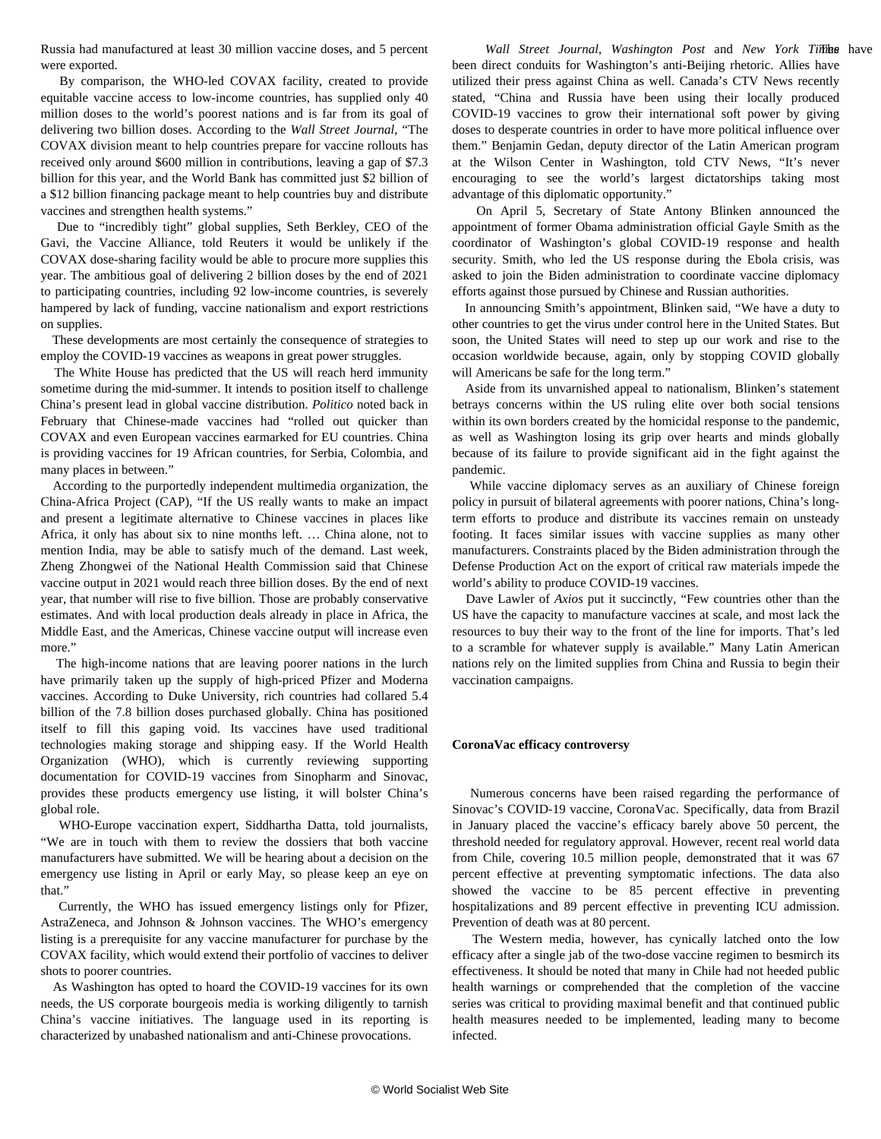Russia had manufactured at least 30 million vaccine doses, and 5 percent were exported.

 By comparison, the WHO-led COVAX facility, created to provide equitable vaccine access to low-income countries, has supplied only 40 million doses to the world's poorest nations and is far from its goal of delivering two billion doses. According to the *Wall Street Journal*, "The COVAX division meant to help countries prepare for vaccine rollouts has received only around \$600 million in contributions, leaving a gap of \$7.3 billion for this year, and the World Bank has committed just \$2 billion of a \$12 billion financing package meant to help countries buy and distribute vaccines and strengthen health systems."

 Due to "incredibly tight" global supplies, Seth Berkley, CEO of the Gavi, the Vaccine Alliance, told Reuters it would be unlikely if the COVAX dose-sharing facility would be able to procure more supplies this year. The ambitious goal of delivering 2 billion doses by the end of 2021 to participating countries, including 92 low-income countries, is severely hampered by lack of funding, vaccine nationalism and export restrictions on supplies.

 These developments are most certainly the consequence of strategies to employ the COVID-19 vaccines as weapons in great power struggles.

 The White House has predicted that the US will reach herd immunity sometime during the mid-summer. It intends to position itself to challenge China's present lead in global vaccine distribution. *Politico* noted back in February that Chinese-made vaccines had "rolled out quicker than COVAX and even European vaccines earmarked for EU countries. China is providing vaccines for 19 African countries, for Serbia, Colombia, and many places in between."

 According to the purportedly independent multimedia organization, the China-Africa Project (CAP), "If the US really wants to make an impact and present a legitimate alternative to Chinese vaccines in places like Africa, it only has about six to nine months left. … China alone, not to mention India, may be able to satisfy much of the demand. Last week, Zheng Zhongwei of the National Health Commission said that Chinese vaccine output in 2021 would reach three billion doses. By the end of next year, that number will rise to five billion. Those are probably conservative estimates. And with local production deals already in place in Africa, the Middle East, and the Americas, Chinese vaccine output will increase even more."

 The high-income nations that are leaving poorer nations in the lurch have primarily taken up the supply of high-priced Pfizer and Moderna vaccines. According to Duke University, rich countries had collared 5.4 billion of the 7.8 billion doses purchased globally. China has positioned itself to fill this gaping void. Its vaccines have used traditional technologies making storage and shipping easy. If the World Health Organization (WHO), which is currently reviewing supporting documentation for COVID-19 vaccines from Sinopharm and Sinovac, provides these products emergency use listing, it will bolster China's global role.

 WHO-Europe vaccination expert, Siddhartha Datta, told journalists, "We are in touch with them to review the dossiers that both vaccine manufacturers have submitted. We will be hearing about a decision on the emergency use listing in April or early May, so please keep an eye on that."

 Currently, the WHO has issued emergency listings only for Pfizer, AstraZeneca, and Johnson & Johnson vaccines. The WHO's emergency listing is a prerequisite for any vaccine manufacturer for purchase by the COVAX facility, which would extend their portfolio of vaccines to deliver shots to poorer countries.

 As Washington has opted to hoard the COVID-19 vaccines for its own needs, the US corporate bourgeois media is working diligently to tarnish China's vaccine initiatives. The language used in its reporting is characterized by unabashed nationalism and anti-Chinese provocations.

 The *Wall Street Journal*, *Washington Post* and *New York Times* have been direct conduits for Washington's anti-Beijing rhetoric. Allies have utilized their press against China as well. Canada's CTV News recently stated, "China and Russia have been using their locally produced COVID-19 vaccines to grow their international soft power by giving doses to desperate countries in order to have more political influence over them." Benjamin Gedan, deputy director of the Latin American program at the Wilson Center in Washington, told CTV News, "It's never encouraging to see the world's largest dictatorships taking most advantage of this diplomatic opportunity."

 On April 5, Secretary of State Antony Blinken announced the appointment of former Obama administration official Gayle Smith as the coordinator of Washington's global COVID-19 response and health security. Smith, who led the US response during the Ebola crisis, was asked to join the Biden administration to coordinate vaccine diplomacy efforts against those pursued by Chinese and Russian authorities.

 In announcing Smith's appointment, Blinken said, "We have a duty to other countries to get the virus under control here in the United States. But soon, the United States will need to step up our work and rise to the occasion worldwide because, again, only by stopping COVID globally will Americans be safe for the long term."

 Aside from its unvarnished appeal to nationalism, Blinken's statement betrays concerns within the US ruling elite over both social tensions within its own borders created by the homicidal response to the pandemic, as well as Washington losing its grip over hearts and minds globally because of its failure to provide significant aid in the fight against the pandemic.

 While vaccine diplomacy serves as an auxiliary of Chinese foreign policy in pursuit of bilateral agreements with poorer nations, China's longterm efforts to produce and distribute its vaccines remain on unsteady footing. It faces similar issues with vaccine supplies as many other manufacturers. Constraints placed by the Biden administration through the Defense Production Act on the export of critical raw materials impede the world's ability to produce COVID-19 vaccines.

 Dave Lawler of *Axios* put it succinctly, "Few countries other than the US have the capacity to manufacture vaccines at scale, and most lack the resources to buy their way to the front of the line for imports. That's led to a scramble for whatever supply is available." Many Latin American nations rely on the limited supplies from China and Russia to begin their vaccination campaigns.

## **CoronaVac efficacy controversy**

 Numerous concerns have been raised regarding the performance of Sinovac's COVID-19 vaccine, CoronaVac. Specifically, data from Brazil in January placed the vaccine's efficacy barely above 50 percent, the threshold needed for regulatory approval. However, recent real world data from Chile, covering 10.5 million people, demonstrated that it was 67 percent effective at preventing symptomatic infections. The data also showed the vaccine to be 85 percent effective in preventing hospitalizations and 89 percent effective in preventing ICU admission. Prevention of death was at 80 percent.

 The Western media, however, has cynically latched onto the low efficacy after a single jab of the two-dose vaccine regimen to besmirch its effectiveness. It should be noted that many in Chile had not heeded public health warnings or comprehended that the completion of the vaccine series was critical to providing maximal benefit and that continued public health measures needed to be implemented, leading many to become infected.